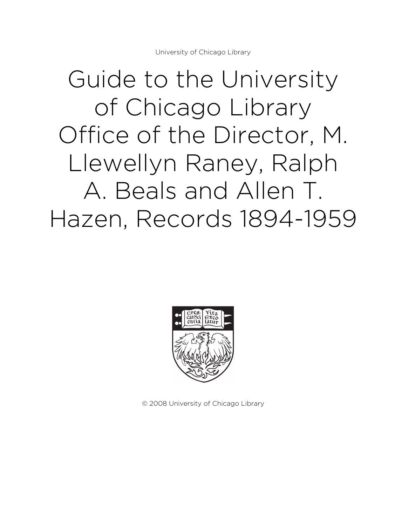# Guide to the University of Chicago Library Office of the Director, M. Llewellyn Raney, Ralph A. Beals and Allen T. Hazen, Records 1894-1959



© 2008 University of Chicago Library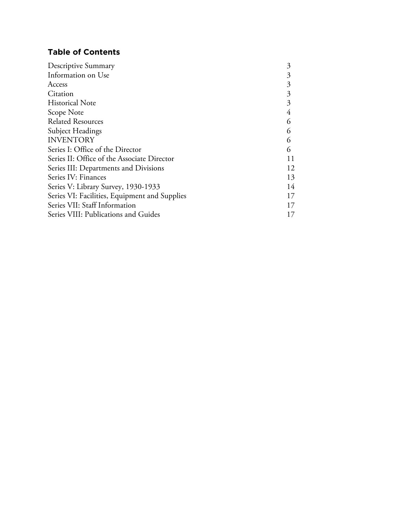# **Table of Contents**

| 3  |
|----|
| 3  |
| 3  |
| 3  |
| 3  |
| 4  |
| 6  |
| 6  |
| 6  |
| 6  |
| 11 |
| 12 |
| 13 |
| 14 |
| 17 |
| 17 |
| 17 |
|    |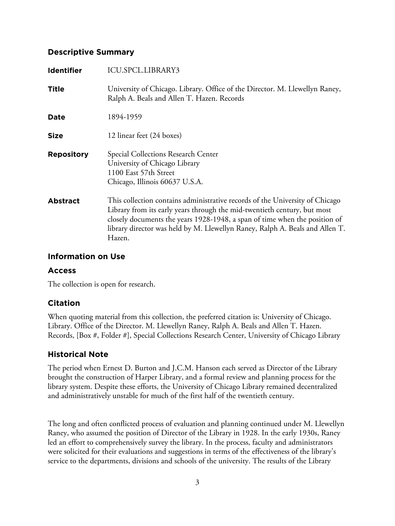#### **Descriptive Summary**

| <b>Identifier</b> | ICU.SPCL.LIBRARY3                                                                                                                                                                                                                                                                                                                |
|-------------------|----------------------------------------------------------------------------------------------------------------------------------------------------------------------------------------------------------------------------------------------------------------------------------------------------------------------------------|
| Title             | University of Chicago. Library. Office of the Director. M. Llewellyn Raney,<br>Ralph A. Beals and Allen T. Hazen. Records                                                                                                                                                                                                        |
| Date              | 1894-1959                                                                                                                                                                                                                                                                                                                        |
| <b>Size</b>       | 12 linear feet (24 boxes)                                                                                                                                                                                                                                                                                                        |
| <b>Repository</b> | Special Collections Research Center<br>University of Chicago Library<br>1100 East 57th Street<br>Chicago, Illinois 60637 U.S.A.                                                                                                                                                                                                  |
| <b>Abstract</b>   | This collection contains administrative records of the University of Chicago<br>Library from its early years through the mid-twentieth century, but most<br>closely documents the years 1928-1948, a span of time when the position of<br>library director was held by M. Llewellyn Raney, Ralph A. Beals and Allen T.<br>Hazen. |

#### **Information on Use**

# **Access**

The collection is open for research.

# **Citation**

When quoting material from this collection, the preferred citation is: University of Chicago. Library. Office of the Director. M. Llewellyn Raney, Ralph A. Beals and Allen T. Hazen. Records, [Box #, Folder #], Special Collections Research Center, University of Chicago Library

# **Historical Note**

The period when Ernest D. Burton and J.C.M. Hanson each served as Director of the Library brought the construction of Harper Library, and a formal review and planning process for the library system. Despite these efforts, the University of Chicago Library remained decentralized and administratively unstable for much of the first half of the twentieth century.

The long and often conflicted process of evaluation and planning continued under M. Llewellyn Raney, who assumed the position of Director of the Library in 1928. In the early 1930s, Raney led an effort to comprehensively survey the library. In the process, faculty and administrators were solicited for their evaluations and suggestions in terms of the effectiveness of the library's service to the departments, divisions and schools of the university. The results of the Library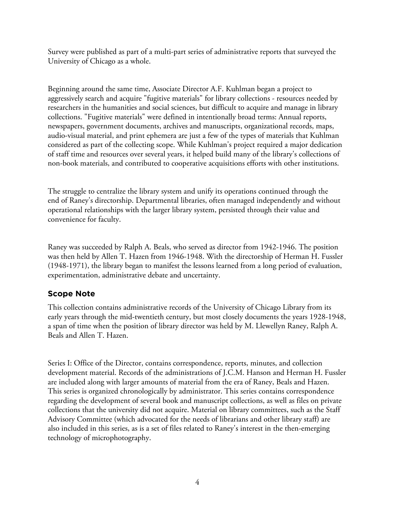Survey were published as part of a multi-part series of administrative reports that surveyed the University of Chicago as a whole.

Beginning around the same time, Associate Director A.F. Kuhlman began a project to aggressively search and acquire "fugitive materials" for library collections - resources needed by researchers in the humanities and social sciences, but difficult to acquire and manage in library collections. "Fugitive materials" were defined in intentionally broad terms: Annual reports, newspapers, government documents, archives and manuscripts, organizational records, maps, audio-visual material, and print ephemera are just a few of the types of materials that Kuhlman considered as part of the collecting scope. While Kuhlman's project required a major dedication of staff time and resources over several years, it helped build many of the library's collections of non-book materials, and contributed to cooperative acquisitions efforts with other institutions.

The struggle to centralize the library system and unify its operations continued through the end of Raney's directorship. Departmental libraries, often managed independently and without operational relationships with the larger library system, persisted through their value and convenience for faculty.

Raney was succeeded by Ralph A. Beals, who served as director from 1942-1946. The position was then held by Allen T. Hazen from 1946-1948. With the directorship of Herman H. Fussler (1948-1971), the library began to manifest the lessons learned from a long period of evaluation, experimentation, administrative debate and uncertainty.

# **Scope Note**

This collection contains administrative records of the University of Chicago Library from its early years through the mid-twentieth century, but most closely documents the years 1928-1948, a span of time when the position of library director was held by M. Llewellyn Raney, Ralph A. Beals and Allen T. Hazen.

Series I: Office of the Director, contains correspondence, reports, minutes, and collection development material. Records of the administrations of J.C.M. Hanson and Herman H. Fussler are included along with larger amounts of material from the era of Raney, Beals and Hazen. This series is organized chronologically by administrator. This series contains correspondence regarding the development of several book and manuscript collections, as well as files on private collections that the university did not acquire. Material on library committees, such as the Staff Advisory Committee (which advocated for the needs of librarians and other library staff) are also included in this series, as is a set of files related to Raney's interest in the then-emerging technology of microphotography.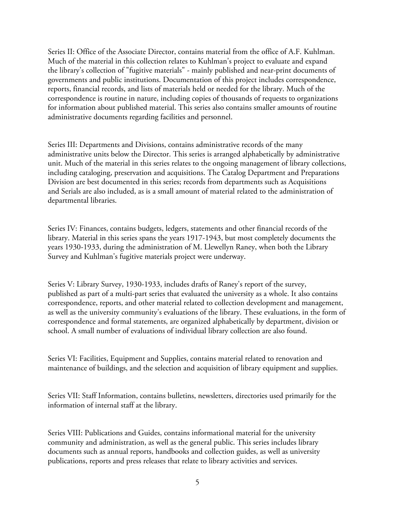Series II: Office of the Associate Director, contains material from the office of A.F. Kuhlman. Much of the material in this collection relates to Kuhlman's project to evaluate and expand the library's collection of "fugitive materials" - mainly published and near-print documents of governments and public institutions. Documentation of this project includes correspondence, reports, financial records, and lists of materials held or needed for the library. Much of the correspondence is routine in nature, including copies of thousands of requests to organizations for information about published material. This series also contains smaller amounts of routine administrative documents regarding facilities and personnel.

Series III: Departments and Divisions, contains administrative records of the many administrative units below the Director. This series is arranged alphabetically by administrative unit. Much of the material in this series relates to the ongoing management of library collections, including cataloging, preservation and acquisitions. The Catalog Department and Preparations Division are best documented in this series; records from departments such as Acquisitions and Serials are also included, as is a small amount of material related to the administration of departmental libraries.

Series IV: Finances, contains budgets, ledgers, statements and other financial records of the library. Material in this series spans the years 1917-1943, but most completely documents the years 1930-1933, during the administration of M. Llewellyn Raney, when both the Library Survey and Kuhlman's fugitive materials project were underway.

Series V: Library Survey, 1930-1933, includes drafts of Raney's report of the survey, published as part of a multi-part series that evaluated the university as a whole. It also contains correspondence, reports, and other material related to collection development and management, as well as the university community's evaluations of the library. These evaluations, in the form of correspondence and formal statements, are organized alphabetically by department, division or school. A small number of evaluations of individual library collection are also found.

Series VI: Facilities, Equipment and Supplies, contains material related to renovation and maintenance of buildings, and the selection and acquisition of library equipment and supplies.

Series VII: Staff Information, contains bulletins, newsletters, directories used primarily for the information of internal staff at the library.

Series VIII: Publications and Guides, contains informational material for the university community and administration, as well as the general public. This series includes library documents such as annual reports, handbooks and collection guides, as well as university publications, reports and press releases that relate to library activities and services.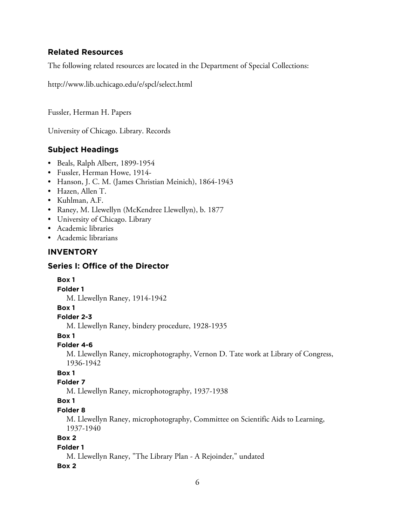# **Related Resources**

The following related resources are located in the Department of Special Collections:

http://www.lib.uchicago.edu/e/spcl/select.html

Fussler, Herman H. Papers

University of Chicago. Library. Records

# **Subject Headings**

- Beals, Ralph Albert, 1899-1954
- Fussler, Herman Howe, 1914-
- Hanson, J. C. M. (James Christian Meinich), 1864-1943
- Hazen, Allen T.
- Kuhlman, A.F.
- Raney, M. Llewellyn (McKendree Llewellyn), b. 1877
- University of Chicago. Library
- Academic libraries
- Academic librarians

# **INVENTORY**

# **Series I: Office of the Director**

**Box 1 Folder 1** M. Llewellyn Raney, 1914-1942 **Box 1 Folder 2-3** M. Llewellyn Raney, bindery procedure, 1928-1935 **Box 1 Folder 4-6** M. Llewellyn Raney, microphotography, Vernon D. Tate work at Library of Congress, 1936-1942 **Box 1 Folder 7** M. Llewellyn Raney, microphotography, 1937-1938 **Box 1 Folder 8** M. Llewellyn Raney, microphotography, Committee on Scientific Aids to Learning, 1937-1940 **Box 2**

#### **Folder 1**

M. Llewellyn Raney, "The Library Plan - A Rejoinder," undated **Box 2**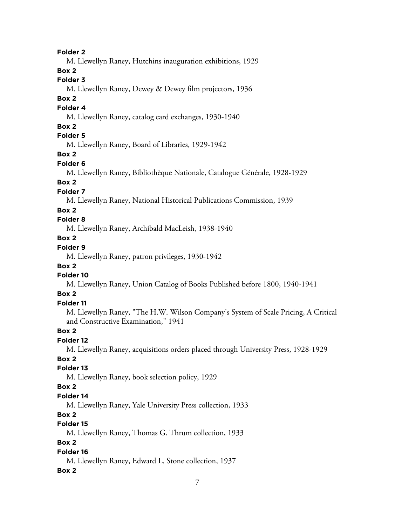**Folder 2**

M. Llewellyn Raney, Hutchins inauguration exhibitions, 1929

**Box 2**

# **Folder 3**

M. Llewellyn Raney, Dewey & Dewey film projectors, 1936

#### **Box 2**

#### **Folder 4**

M. Llewellyn Raney, catalog card exchanges, 1930-1940

# **Box 2**

# **Folder 5**

M. Llewellyn Raney, Board of Libraries, 1929-1942

# **Box 2**

#### **Folder 6**

M. Llewellyn Raney, Bibliothèque Nationale, Catalogue Générale, 1928-1929

# **Box 2**

# **Folder 7**

M. Llewellyn Raney, National Historical Publications Commission, 1939

# **Box 2**

# **Folder 8**

M. Llewellyn Raney, Archibald MacLeish, 1938-1940

# **Box 2**

# **Folder 9**

M. Llewellyn Raney, patron privileges, 1930-1942

# **Box 2**

# **Folder 10**

M. Llewellyn Raney, Union Catalog of Books Published before 1800, 1940-1941

# **Box 2**

# **Folder 11**

M. Llewellyn Raney, "The H.W. Wilson Company's System of Scale Pricing, A Critical and Constructive Examination," 1941

# **Box 2**

# **Folder 12**

M. Llewellyn Raney, acquisitions orders placed through University Press, 1928-1929

# **Box 2**

# **Folder 13**

M. Llewellyn Raney, book selection policy, 1929

# **Box 2**

# **Folder 14**

M. Llewellyn Raney, Yale University Press collection, 1933

# **Box 2**

# **Folder 15**

M. Llewellyn Raney, Thomas G. Thrum collection, 1933

# **Box 2**

# **Folder 16**

M. Llewellyn Raney, Edward L. Stone collection, 1937

# **Box 2**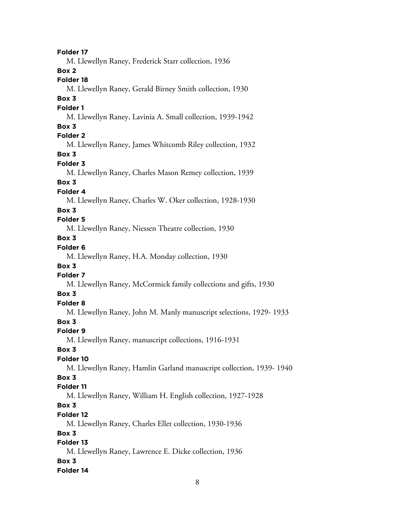**Folder 17** M. Llewellyn Raney, Frederick Starr collection, 1936 **Box 2 Folder 18** M. Llewellyn Raney, Gerald Birney Smith collection, 1930 **Box 3 Folder 1** M. Llewellyn Raney, Lavinia A. Small collection, 1939-1942 **Box 3 Folder 2** M. Llewellyn Raney, James Whitcomb Riley collection, 1932 **Box 3 Folder 3** M. Llewellyn Raney, Charles Mason Remey collection, 1939 **Box 3 Folder 4** M. Llewellyn Raney, Charles W. Oker collection, 1928-1930 **Box 3 Folder 5** M. Llewellyn Raney, Niessen Theatre collection, 1930 **Box 3 Folder 6** M. Llewellyn Raney, H.A. Monday collection, 1930 **Box 3 Folder 7** M. Llewellyn Raney, McCormick family collections and gifts, 1930 **Box 3 Folder 8** M. Llewellyn Raney, John M. Manly manuscript selections, 1929- 1933 **Box 3 Folder 9** M. Llewellyn Raney, manuscript collections, 1916-1931 **Box 3 Folder 10** M. Llewellyn Raney, Hamlin Garland manuscript collection, 1939- 1940 **Box 3 Folder 11** M. Llewellyn Raney, William H. English collection, 1927-1928 **Box 3 Folder 12** M. Llewellyn Raney, Charles Ellet collection, 1930-1936 **Box 3 Folder 13** M. Llewellyn Raney, Lawrence E. Dicke collection, 1936 **Box 3 Folder 14**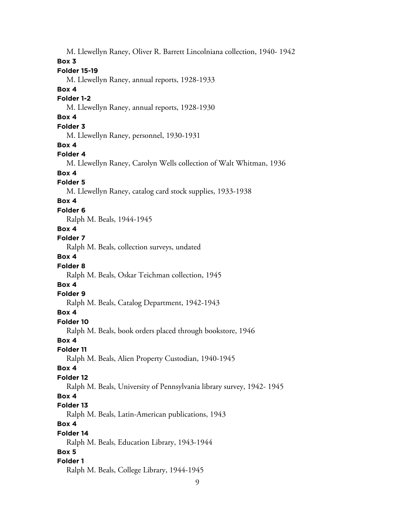M. Llewellyn Raney, Oliver R. Barrett Lincolniana collection, 1940- 1942 **Box 3 Folder 15-19** M. Llewellyn Raney, annual reports, 1928-1933 **Box 4 Folder 1-2** M. Llewellyn Raney, annual reports, 1928-1930 **Box 4 Folder 3** M. Llewellyn Raney, personnel, 1930-1931 **Box 4 Folder 4** M. Llewellyn Raney, Carolyn Wells collection of Walt Whitman, 1936 **Box 4 Folder 5** M. Llewellyn Raney, catalog card stock supplies, 1933-1938 **Box 4 Folder 6** Ralph M. Beals, 1944-1945 **Box 4 Folder 7** Ralph M. Beals, collection surveys, undated **Box 4 Folder 8** Ralph M. Beals, Oskar Teichman collection, 1945 **Box 4 Folder 9** Ralph M. Beals, Catalog Department, 1942-1943 **Box 4 Folder 10** Ralph M. Beals, book orders placed through bookstore, 1946 **Box 4 Folder 11** Ralph M. Beals, Alien Property Custodian, 1940-1945 **Box 4 Folder 12** Ralph M. Beals, University of Pennsylvania library survey, 1942- 1945 **Box 4 Folder 13** Ralph M. Beals, Latin-American publications, 1943 **Box 4 Folder 14** Ralph M. Beals, Education Library, 1943-1944 **Box 5 Folder 1** Ralph M. Beals, College Library, 1944-1945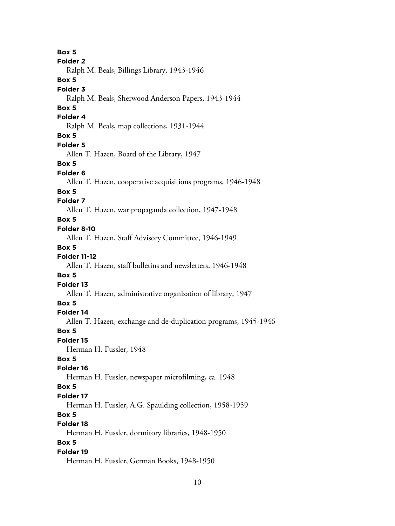**Box 5 Folder 2** Ralph M. Beals, Billings Library, 1943-1946 **Box 5 Folder 3** Ralph M. Beals, Sherwood Anderson Papers, 1943-1944 **Box 5 Folder 4** Ralph M. Beals, map collections, 1931-1944 **Box 5 Folder 5** Allen T. Hazen, Board of the Library, 1947 **Box 5 Folder 6** Allen T. Hazen, cooperative acquisitions programs, 1946-1948 **Box 5 Folder 7** Allen T. Hazen, war propaganda collection, 1947-1948 **Box 5 Folder 8-10** Allen T. Hazen, Staff Advisory Committee, 1946-1949 **Box 5 Folder 11-12** Allen T. Hazen, staff bulletins and newsletters, 1946-1948 **Box 5 Folder 13** Allen T. Hazen, administrative organization of library, 1947 **Box 5 Folder 14** Allen T. Hazen, exchange and de-duplication programs, 1945-1946 **Box 5 Folder 15** Herman H. Fussler, 1948 **Box 5 Folder 16** Herman H. Fussler, newspaper microfilming, ca. 1948 **Box 5 Folder 17** Herman H. Fussler, A.G. Spaulding collection, 1958-1959 **Box 5 Folder 18** Herman H. Fussler, dormitory libraries, 1948-1950 **Box 5 Folder 19** Herman H. Fussler, German Books, 1948-1950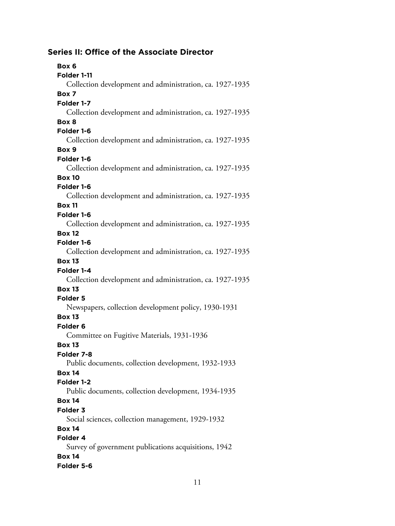# **Series II: Office of the Associate Director**

| Box 6                                                    |
|----------------------------------------------------------|
| Folder 1-11                                              |
| Collection development and administration, ca. 1927-1935 |
| Box 7                                                    |
| Folder 1-7                                               |
| Collection development and administration, ca. 1927-1935 |
| Box 8                                                    |
| Folder 1-6                                               |
| Collection development and administration, ca. 1927-1935 |
| Box 9                                                    |
| Folder 1-6                                               |
| Collection development and administration, ca. 1927-1935 |
| <b>Box 10</b>                                            |
| Folder 1-6                                               |
| Collection development and administration, ca. 1927-1935 |
| <b>Box 11</b>                                            |
| Folder 1-6                                               |
| Collection development and administration, ca. 1927-1935 |
| <b>Box 12</b>                                            |
| Folder 1-6                                               |
| Collection development and administration, ca. 1927-1935 |
| <b>Box 13</b>                                            |
| Folder 1-4                                               |
| Collection development and administration, ca. 1927-1935 |
| <b>Box 13</b>                                            |
| <b>Folder 5</b>                                          |
| Newspapers, collection development policy, 1930-1931     |
| <b>Box 13</b>                                            |
| Folder <sub>6</sub>                                      |
| Committee on Fugitive Materials, 1931-1936               |
| <b>Box 13</b>                                            |
| Folder 7-8                                               |
| Public documents, collection development, 1932-1933      |
| <b>Box 14</b>                                            |
| Folder 1-2                                               |
| Public documents, collection development, 1934-1935      |
| <b>Box 14</b>                                            |
| <b>Folder 3</b>                                          |
| Social sciences, collection management, 1929-1932        |
| <b>Box 14</b>                                            |
| Folder 4                                                 |
| Survey of government publications acquisitions, 1942     |
| <b>Box 14</b>                                            |
| Folder 5-6                                               |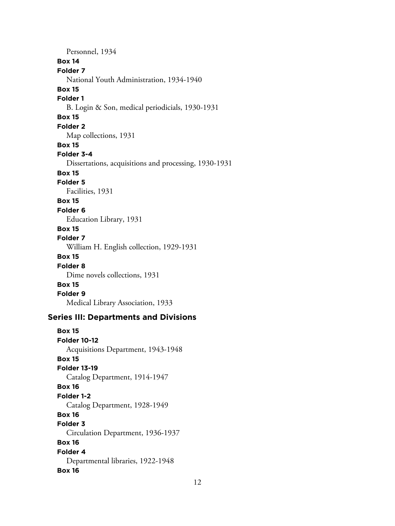Personnel, 1934 **Box 14 Folder 7** National Youth Administration, 1934-1940 **Box 15 Folder 1** B. Login & Son, medical periodicials, 1930-1931 **Box 15 Folder 2** Map collections, 1931 **Box 15 Folder 3-4** Dissertations, acquisitions and processing, 1930-1931 **Box 15 Folder 5** Facilities, 1931 **Box 15 Folder 6** Education Library, 1931 **Box 15 Folder 7** William H. English collection, 1929-1931 **Box 15 Folder 8** Dime novels collections, 1931 **Box 15 Folder 9** Medical Library Association, 1933 **Series III: Departments and Divisions Box 15 Folder 10-12** Acquisitions Department, 1943-1948 **Box 15 Folder 13-19** Catalog Department, 1914-1947 **Box 16 Folder 1-2** Catalog Department, 1928-1949 **Box 16 Folder 3** Circulation Department, 1936-1937

**Box 16 Folder 4**

Departmental libraries, 1922-1948

# **Box 16**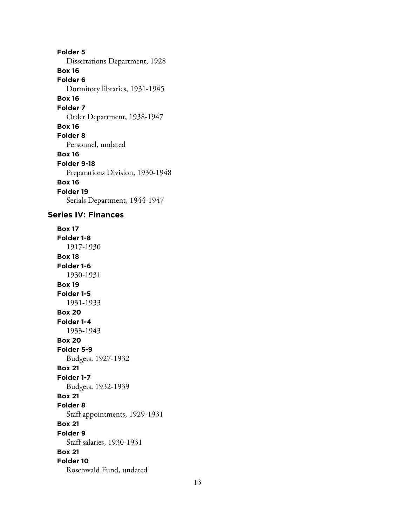**Folder 5** Dissertations Department, 1928 **Box 16 Folder 6** Dormitory libraries, 1931-1945 **Box 16 Folder 7** Order Department, 1938-1947 **Box 16 Folder 8** Personnel, undated **Box 16 Folder 9-18** Preparations Division, 1930-1948 **Box 16 Folder 19** Serials Department, 1944-1947

#### **Series IV: Finances**

**Box 17 Folder 1-8** 1917-1930 **Box 18 Folder 1-6** 1930-1931 **Box 19 Folder 1-5** 1931-1933 **Box 20 Folder 1-4** 1933-1943 **Box 20 Folder 5-9** Budgets, 1927-1932 **Box 21 Folder 1-7** Budgets, 1932-1939 **Box 21 Folder 8** Staff appointments, 1929-1931 **Box 21 Folder 9** Staff salaries, 1930-1931 **Box 21 Folder 10** Rosenwald Fund, undated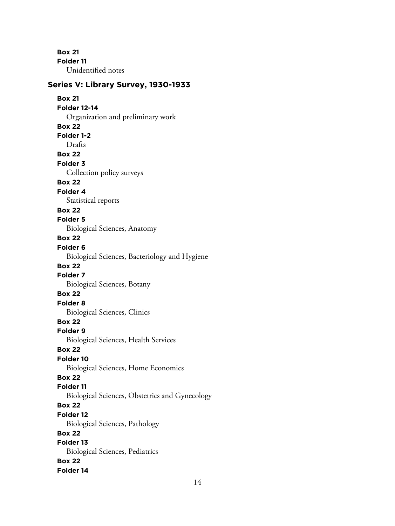**Box 21 Folder 11** Unidentified notes

#### **Series V: Library Survey, 1930-1933**

**Box 21 Folder 12-14** Organization and preliminary work **Box 22 Folder 1-2** Drafts **Box 22 Folder 3** Collection policy surveys **Box 22 Folder 4** Statistical reports **Box 22 Folder 5** Biological Sciences, Anatomy **Box 22 Folder 6** Biological Sciences, Bacteriology and Hygiene **Box 22 Folder 7** Biological Sciences, Botany **Box 22 Folder 8** Biological Sciences, Clinics **Box 22 Folder 9** Biological Sciences, Health Services **Box 22 Folder 10** Biological Sciences, Home Economics **Box 22 Folder 11** Biological Sciences, Obstetrics and Gynecology **Box 22 Folder 12** Biological Sciences, Pathology **Box 22 Folder 13** Biological Sciences, Pediatrics **Box 22 Folder 14**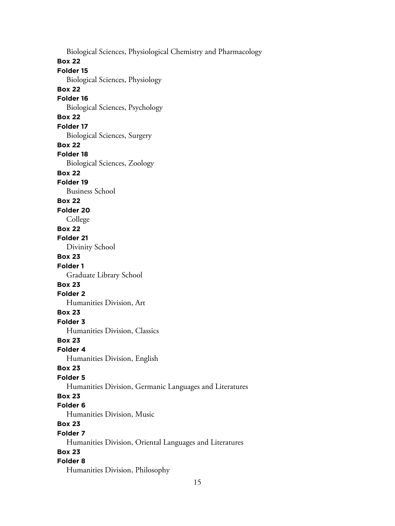Biological Sciences, Physiological Chemistry and Pharmacology **Box 22 Folder 15** Biological Sciences, Physiology **Box 22 Folder 16** Biological Sciences, Psychology **Box 22 Folder 17** Biological Sciences, Surgery **Box 22 Folder 18** Biological Sciences, Zoology **Box 22 Folder 19** Business School **Box 22 Folder 20** College **Box 22 Folder 21** Divinity School **Box 23 Folder 1** Graduate Library School **Box 23 Folder 2** Humanities Division, Art **Box 23 Folder 3** Humanities Division, Classics **Box 23 Folder 4** Humanities Division, English **Box 23 Folder 5** Humanities Division, Germanic Languages and Literatures **Box 23 Folder 6** Humanities Division, Music **Box 23 Folder 7** Humanities Division, Oriental Languages and Literatures **Box 23 Folder 8** Humanities Division, Philosophy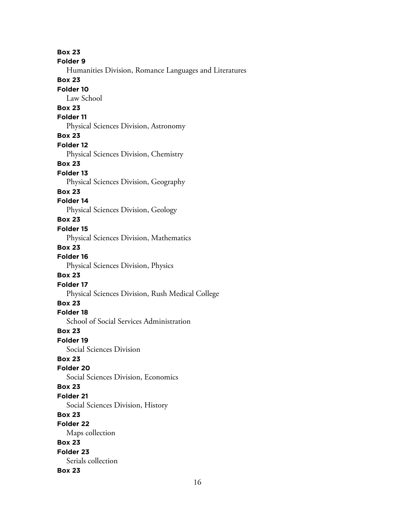**Box 23 Folder 9** Humanities Division, Romance Languages and Literatures **Box 23 Folder 10** Law School **Box 23 Folder 11** Physical Sciences Division, Astronomy **Box 23 Folder 12** Physical Sciences Division, Chemistry **Box 23 Folder 13** Physical Sciences Division, Geography **Box 23 Folder 14** Physical Sciences Division, Geology **Box 23 Folder 15** Physical Sciences Division, Mathematics **Box 23 Folder 16** Physical Sciences Division, Physics **Box 23 Folder 17** Physical Sciences Division, Rush Medical College **Box 23 Folder 18** School of Social Services Administration **Box 23 Folder 19** Social Sciences Division **Box 23 Folder 20** Social Sciences Division, Economics **Box 23 Folder 21** Social Sciences Division, History **Box 23 Folder 22** Maps collection **Box 23 Folder 23** Serials collection **Box 23**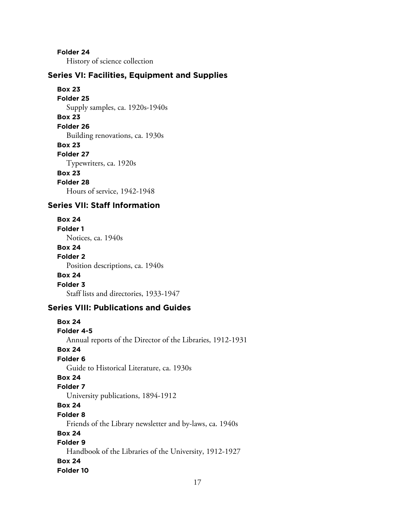**Folder 24**

History of science collection

#### **Series VI: Facilities, Equipment and Supplies**

**Box 23 Folder 25** Supply samples, ca. 1920s-1940s **Box 23 Folder 26** Building renovations, ca. 1930s **Box 23 Folder 27** Typewriters, ca. 1920s **Box 23 Folder 28** Hours of service, 1942-1948

# **Series VII: Staff Information**

#### **Box 24**

**Folder 1**

Notices, ca. 1940s

# **Box 24**

**Folder 2** Position descriptions, ca. 1940s

#### **Box 24**

**Folder 3**

Staff lists and directories, 1933-1947

#### **Series VIII: Publications and Guides**

**Box 24 Folder 4-5** Annual reports of the Director of the Libraries, 1912-1931 **Box 24 Folder 6** Guide to Historical Literature, ca. 1930s **Box 24 Folder 7** University publications, 1894-1912 **Box 24 Folder 8** Friends of the Library newsletter and by-laws, ca. 1940s **Box 24 Folder 9** Handbook of the Libraries of the University, 1912-1927 **Box 24 Folder 10**